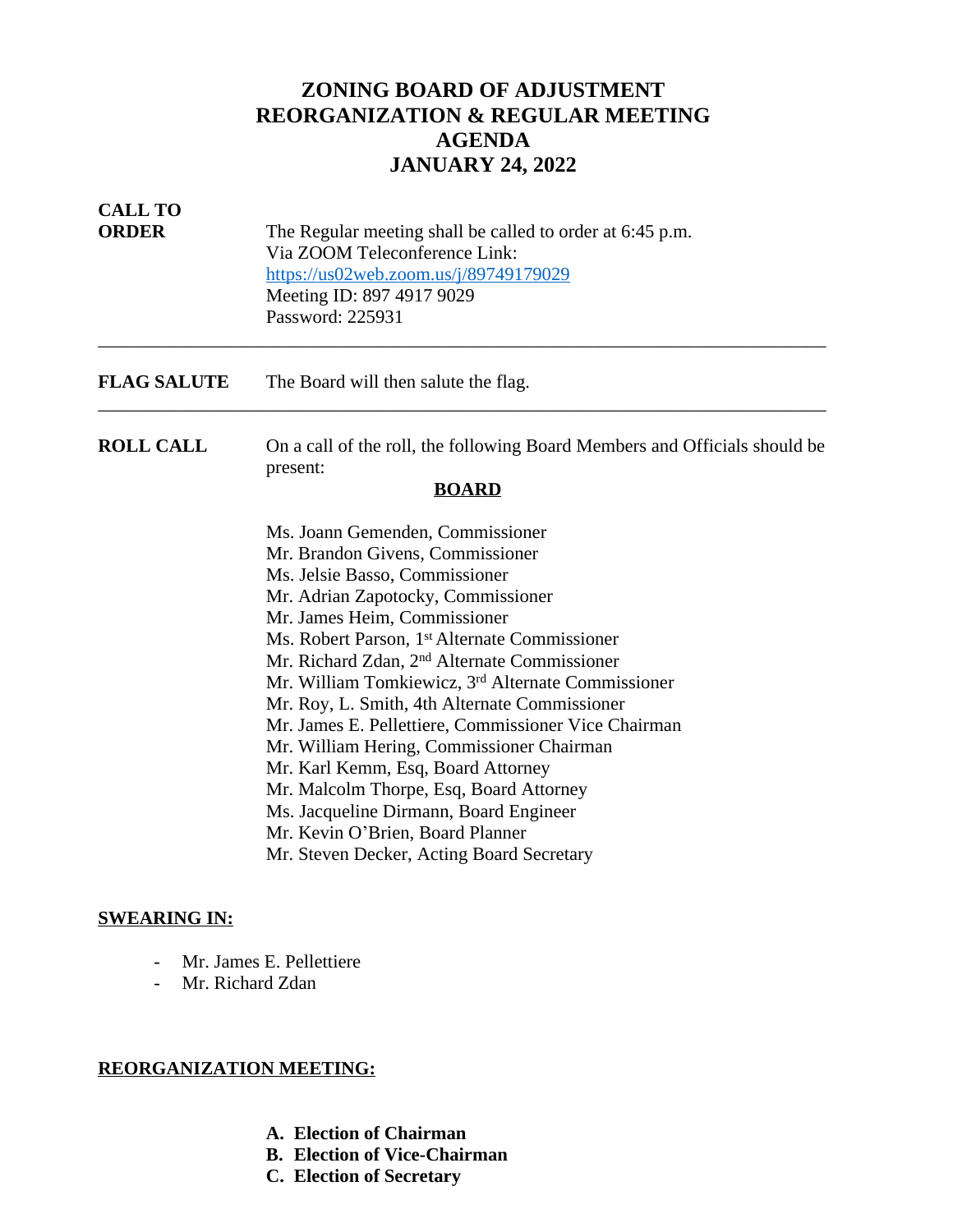# **ZONING BOARD OF ADJUSTMENT REORGANIZATION & REGULAR MEETING AGENDA JANUARY 24, 2022**

| <b>CALL TO</b><br><b>ORDER</b> | The Regular meeting shall be called to order at 6:45 p.m.<br>Via ZOOM Teleconference Link:<br>https://us02web.zoom.us/j/89749179029<br>Meeting ID: 897 4917 9029<br>Password: 225931                                                                                                                                                                                                                                                                                                                                                                                                                                                                                                                                                      |
|--------------------------------|-------------------------------------------------------------------------------------------------------------------------------------------------------------------------------------------------------------------------------------------------------------------------------------------------------------------------------------------------------------------------------------------------------------------------------------------------------------------------------------------------------------------------------------------------------------------------------------------------------------------------------------------------------------------------------------------------------------------------------------------|
| <b>FLAG SALUTE</b>             | The Board will then salute the flag.                                                                                                                                                                                                                                                                                                                                                                                                                                                                                                                                                                                                                                                                                                      |
| <b>ROLL CALL</b>               | On a call of the roll, the following Board Members and Officials should be<br>present:<br><b>BOARD</b>                                                                                                                                                                                                                                                                                                                                                                                                                                                                                                                                                                                                                                    |
|                                | Ms. Joann Gemenden, Commissioner<br>Mr. Brandon Givens, Commissioner<br>Ms. Jelsie Basso, Commissioner<br>Mr. Adrian Zapotocky, Commissioner<br>Mr. James Heim, Commissioner<br>Ms. Robert Parson, 1 <sup>st</sup> Alternate Commissioner<br>Mr. Richard Zdan, 2 <sup>nd</sup> Alternate Commissioner<br>Mr. William Tomkiewicz, 3 <sup>rd</sup> Alternate Commissioner<br>Mr. Roy, L. Smith, 4th Alternate Commissioner<br>Mr. James E. Pellettiere, Commissioner Vice Chairman<br>Mr. William Hering, Commissioner Chairman<br>Mr. Karl Kemm, Esq, Board Attorney<br>Mr. Malcolm Thorpe, Esq, Board Attorney<br>Ms. Jacqueline Dirmann, Board Engineer<br>Mr. Kevin O'Brien, Board Planner<br>Mr. Steven Decker, Acting Board Secretary |

## **SWEARING IN:**

- Mr. James E. Pellettiere
- Mr. Richard Zdan

## **REORGANIZATION MEETING:**

- **A. Election of Chairman**
- **B. Election of Vice-Chairman**
- **C. Election of Secretary**